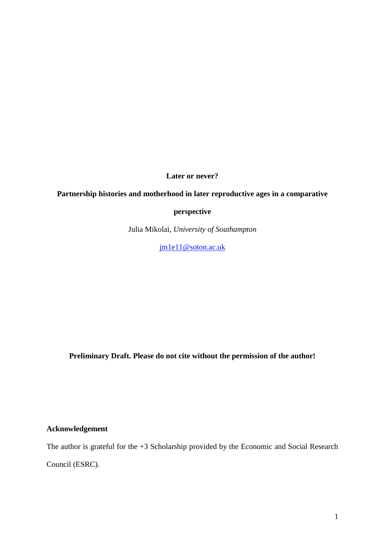**Later or never?**

# **Partnership histories and motherhood in later reproductive ages in a comparative**

**perspective**

Julia Mikolai, *University of Southampton*

[jm1e11@soton.ac.uk](mailto:jm1e11@soton.ac.uk)

**Preliminary Draft. Please do not cite without the permission of the author!**

**Acknowledgement**

The author is grateful for the +3 Scholarship provided by the Economic and Social Research Council (ESRC).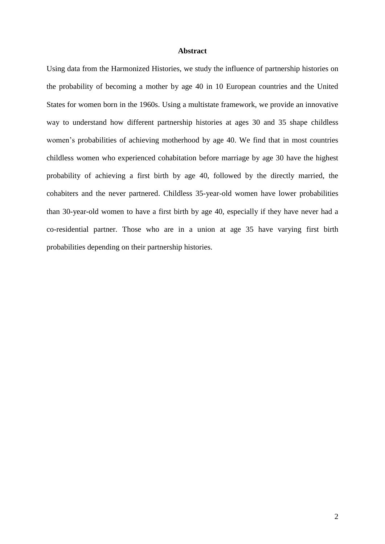#### **Abstract**

Using data from the Harmonized Histories, we study the influence of partnership histories on the probability of becoming a mother by age 40 in 10 European countries and the United States for women born in the 1960s. Using a multistate framework, we provide an innovative way to understand how different partnership histories at ages 30 and 35 shape childless women's probabilities of achieving motherhood by age 40. We find that in most countries childless women who experienced cohabitation before marriage by age 30 have the highest probability of achieving a first birth by age 40, followed by the directly married, the cohabiters and the never partnered. Childless 35-year-old women have lower probabilities than 30-year-old women to have a first birth by age 40, especially if they have never had a co-residential partner. Those who are in a union at age 35 have varying first birth probabilities depending on their partnership histories.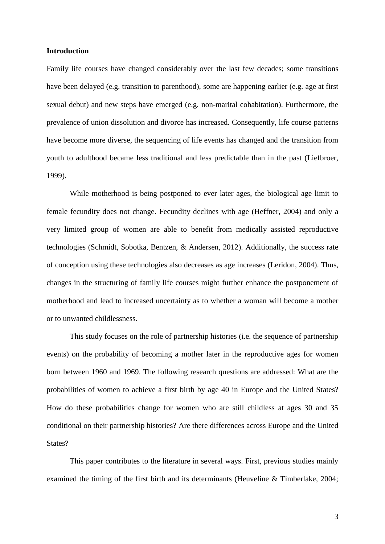#### **Introduction**

Family life courses have changed considerably over the last few decades; some transitions have been delayed (e.g. transition to parenthood), some are happening earlier (e.g. age at first sexual debut) and new steps have emerged (e.g. non-marital cohabitation). Furthermore, the prevalence of union dissolution and divorce has increased. Consequently, life course patterns have become more diverse, the sequencing of life events has changed and the transition from youth to adulthood became less traditional and less predictable than in the past [\(Liefbroer,](#page-25-0)  [1999\)](#page-25-0).

While motherhood is being postponed to ever later ages, the biological age limit to female fecundity does not change. Fecundity declines with age [\(Heffner, 2004\)](#page-25-1) and only a very limited group of women are able to benefit from medically assisted reproductive technologies [\(Schmidt, Sobotka, Bentzen, & Andersen, 2012\)](#page-26-0). Additionally, the success rate of conception using these technologies also decreases as age increases [\(Leridon, 2004\)](#page-25-2). Thus, changes in the structuring of family life courses might further enhance the postponement of motherhood and lead to increased uncertainty as to whether a woman will become a mother or to unwanted childlessness.

This study focuses on the role of partnership histories (i.e. the sequence of partnership events) on the probability of becoming a mother later in the reproductive ages for women born between 1960 and 1969. The following research questions are addressed: What are the probabilities of women to achieve a first birth by age 40 in Europe and the United States? How do these probabilities change for women who are still childless at ages 30 and 35 conditional on their partnership histories? Are there differences across Europe and the United States?

This paper contributes to the literature in several ways. First, previous studies mainly examined the timing of the first birth and its determinants [\(Heuveline & Timberlake, 2004;](#page-25-3)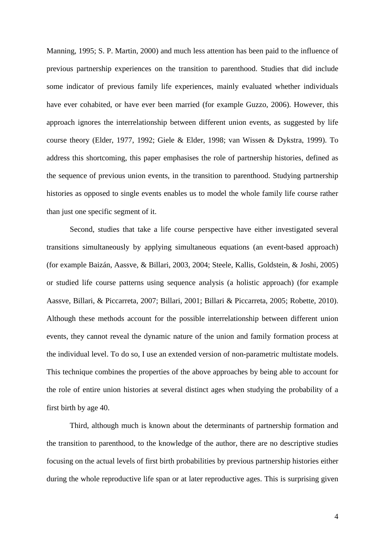[Manning, 1995;](#page-25-4) [S. P. Martin, 2000\)](#page-25-5) and much less attention has been paid to the influence of previous partnership experiences on the transition to parenthood. Studies that did include some indicator of previous family life experiences, mainly evaluated whether individuals have ever cohabited, or have ever been married [\(for example Guzzo, 2006\)](#page-25-6). However, this approach ignores the interrelationship between different union events, as suggested by life course theory [\(Elder, 1977,](#page-24-0) [1992;](#page-24-1) [Giele & Elder, 1998;](#page-25-7) [van Wissen & Dykstra, 1999\)](#page-26-1). To address this shortcoming, this paper emphasises the role of partnership histories, defined as the sequence of previous union events, in the transition to parenthood. Studying partnership histories as opposed to single events enables us to model the whole family life course rather than just one specific segment of it.

Second, studies that take a life course perspective have either investigated several transitions simultaneously by applying simultaneous equations (an event-based approach) (for example [Baizán, Aassve, & Billari, 2003,](#page-24-2) [2004;](#page-24-3) [Steele, Kallis, Goldstein, & Joshi, 2005\)](#page-26-2) or studied life course patterns using sequence analysis (a holistic approach) (for example [Aassve, Billari, & Piccarreta, 2007;](#page-24-4) [Billari, 2001;](#page-24-5) [Billari & Piccarreta, 2005;](#page-24-6) [Robette, 2010\)](#page-26-3). Although these methods account for the possible interrelationship between different union events, they cannot reveal the dynamic nature of the union and family formation process at the individual level. To do so, I use an extended version of non-parametric multistate models. This technique combines the properties of the above approaches by being able to account for the role of entire union histories at several distinct ages when studying the probability of a first birth by age 40.

Third, although much is known about the determinants of partnership formation and the transition to parenthood, to the knowledge of the author, there are no descriptive studies focusing on the actual levels of first birth probabilities by previous partnership histories either during the whole reproductive life span or at later reproductive ages. This is surprising given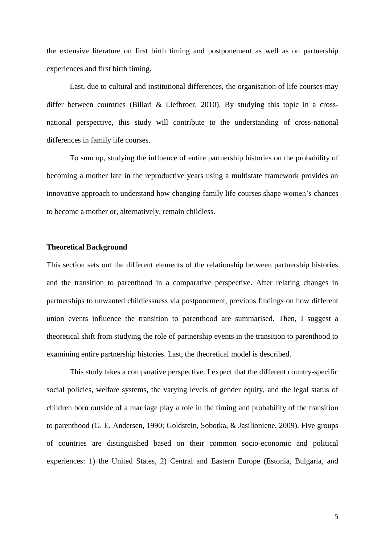the extensive literature on first birth timing and postponement as well as on partnership experiences and first birth timing.

Last, due to cultural and institutional differences, the organisation of life courses may differ between countries [\(Billari & Liefbroer, 2010\)](#page-24-7). By studying this topic in a crossnational perspective, this study will contribute to the understanding of cross-national differences in family life courses.

To sum up, studying the influence of entire partnership histories on the probability of becoming a mother late in the reproductive years using a multistate framework provides an innovative approach to understand how changing family life courses shape women's chances to become a mother or, alternatively, remain childless.

## **Theoretical Background**

This section sets out the different elements of the relationship between partnership histories and the transition to parenthood in a comparative perspective. After relating changes in partnerships to unwanted childlessness via postponement, previous findings on how different union events influence the transition to parenthood are summarised. Then, I suggest a theoretical shift from studying the role of partnership events in the transition to parenthood to examining entire partnership histories. Last, the theoretical model is described.

This study takes a comparative perspective. I expect that the different country-specific social policies, welfare systems, the varying levels of gender equity, and the legal status of children born outside of a marriage play a role in the timing and probability of the transition to parenthood [\(G. E. Andersen, 1990;](#page-24-8) [Goldstein, Sobotka, & Jasilioniene, 2009\)](#page-25-8). Five groups of countries are distinguished based on their common socio-economic and political experiences: 1) the United States, 2) Central and Eastern Europe (Estonia, Bulgaria, and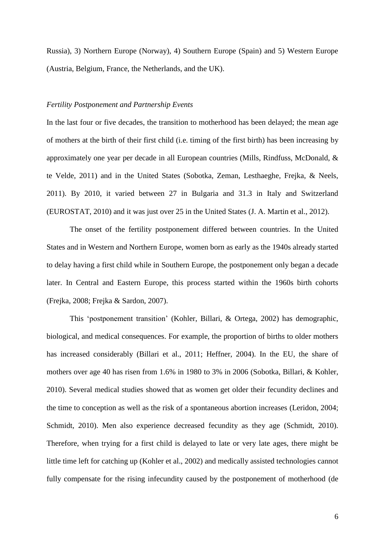Russia), 3) Northern Europe (Norway), 4) Southern Europe (Spain) and 5) Western Europe (Austria, Belgium, France, the Netherlands, and the UK).

#### *Fertility Postponement and Partnership Events*

In the last four or five decades, the transition to motherhood has been delayed; the mean age of mothers at the birth of their first child (i.e. timing of the first birth) has been increasing by approximately one year per decade in all European countries [\(Mills, Rindfuss, McDonald, &](#page-25-9)  [te Velde, 2011\)](#page-25-9) and in the United States [\(Sobotka, Zeman, Lesthaeghe, Frejka, & Neels,](#page-26-4)  [2011\)](#page-26-4). By 2010, it varied between 27 in Bulgaria and 31.3 in Italy and Switzerland [\(EUROSTAT, 2010\)](#page-24-9) and it was just over 25 in the United States [\(J. A. Martin et al., 2012\)](#page-25-10).

The onset of the fertility postponement differed between countries. In the United States and in Western and Northern Europe, women born as early as the 1940s already started to delay having a first child while in Southern Europe, the postponement only began a decade later. In Central and Eastern Europe, this process started within the 1960s birth cohorts [\(Frejka, 2008;](#page-24-10) [Frejka & Sardon, 2007\)](#page-24-11).

This 'postponement transition' [\(Kohler, Billari, & Ortega, 2002\)](#page-25-11) has demographic, biological, and medical consequences. For example, the proportion of births to older mothers has increased considerably [\(Billari et al., 2011;](#page-24-12) [Heffner, 2004\)](#page-25-1). In the EU, the share of mothers over age 40 has risen from 1.6% in 1980 to 3% in 2006 [\(Sobotka, Billari, & Kohler,](#page-26-5)  [2010\)](#page-26-5). Several medical studies showed that as women get older their fecundity declines and the time to conception as well as the risk of a spontaneous abortion increases [\(Leridon, 2004;](#page-25-2) [Schmidt, 2010\)](#page-26-6). Men also experience decreased fecundity as they age [\(Schmidt, 2010\)](#page-26-6). Therefore, when trying for a first child is delayed to late or very late ages, there might be little time left for catching up [\(Kohler et al., 2002\)](#page-25-11) and medically assisted technologies cannot fully compensate for the rising infecundity caused by the postponement of motherhood [\(de](#page-24-13)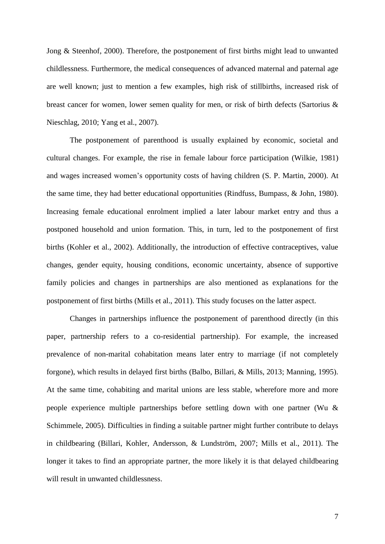[Jong & Steenhof,](#page-24-13) 2000). Therefore, the postponement of first births might lead to unwanted childlessness. Furthermore, the medical consequences of advanced maternal and paternal age are well known; just to mention a few examples, high risk of stillbirths, increased risk of breast cancer for women, lower semen quality for men, or risk of birth defects [\(Sartorius &](#page-26-7)  [Nieschlag, 2010;](#page-26-7) [Yang et al., 2007\)](#page-26-8).

The postponement of parenthood is usually explained by economic, societal and cultural changes. For example, the rise in female labour force participation [\(Wilkie, 1981\)](#page-26-9) and wages increased women's opportunity costs of having children [\(S. P. Martin, 2000\)](#page-25-5). At the same time, they had better educational opportunities [\(Rindfuss, Bumpass, & John, 1980\)](#page-26-10). Increasing female educational enrolment implied a later labour market entry and thus a postponed household and union formation. This, in turn, led to the postponement of first births [\(Kohler et al., 2002\)](#page-25-11). Additionally, the introduction of effective contraceptives, value changes, gender equity, housing conditions, economic uncertainty, absence of supportive family policies and changes in partnerships are also mentioned as explanations for the postponement of first births [\(Mills et al., 2011\)](#page-25-9). This study focuses on the latter aspect.

Changes in partnerships influence the postponement of parenthood directly (in this paper, partnership refers to a co-residential partnership). For example, the increased prevalence of non-marital cohabitation means later entry to marriage (if not completely forgone), which results in delayed first births [\(Balbo, Billari, & Mills, 2013;](#page-24-14) [Manning, 1995\)](#page-25-4). At the same time, cohabiting and marital unions are less stable, wherefore more and more people experience multiple partnerships before settling down with one partner [\(Wu &](#page-26-11)  [Schimmele, 2005\)](#page-26-11). Difficulties in finding a suitable partner might further contribute to delays in childbearing [\(Billari, Kohler, Andersson, & Lundström, 2007;](#page-24-15) [Mills et al., 2011\)](#page-25-9). The longer it takes to find an appropriate partner, the more likely it is that delayed childbearing will result in unwanted childlessness.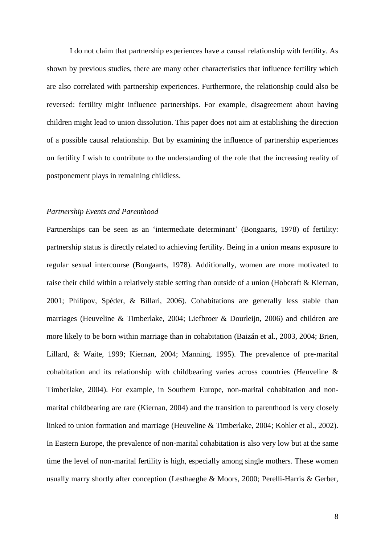I do not claim that partnership experiences have a causal relationship with fertility. As shown by previous studies, there are many other characteristics that influence fertility which are also correlated with partnership experiences. Furthermore, the relationship could also be reversed: fertility might influence partnerships. For example, disagreement about having children might lead to union dissolution. This paper does not aim at establishing the direction of a possible causal relationship. But by examining the influence of partnership experiences on fertility I wish to contribute to the understanding of the role that the increasing reality of postponement plays in remaining childless.

## *Partnership Events and Parenthood*

Partnerships can be seen as an 'intermediate determinant' [\(Bongaarts, 1978\)](#page-24-16) of fertility: partnership status is directly related to achieving fertility. Being in a union means exposure to regular sexual intercourse [\(Bongaarts, 1978\)](#page-24-16). Additionally, women are more motivated to raise their child within a relatively stable setting than outside of a union [\(Hobcraft & Kiernan,](#page-25-12)  [2001;](#page-25-12) [Philipov, Spéder, & Billari, 2006\)](#page-25-13). Cohabitations are generally less stable than marriages [\(Heuveline & Timberlake, 2004;](#page-25-3) [Liefbroer & Dourleijn, 2006\)](#page-25-14) and children are more likely to be born within marriage than in cohabitation [\(Baizán et al., 2003,](#page-24-2) [2004;](#page-24-3) [Brien,](#page-24-17)  [Lillard, & Waite, 1999;](#page-24-17) [Kiernan, 2004;](#page-25-15) [Manning, 1995\)](#page-25-4). The prevalence of pre-marital cohabitation and its relationship with childbearing varies across countries [\(Heuveline &](#page-25-3)  [Timberlake, 2004\)](#page-25-3). For example, in Southern Europe, non-marital cohabitation and nonmarital childbearing are rare [\(Kiernan, 2004\)](#page-25-15) and the transition to parenthood is very closely linked to union formation and marriage [\(Heuveline & Timberlake, 2004;](#page-25-3) [Kohler et al., 2002\)](#page-25-11). In Eastern Europe, the prevalence of non-marital cohabitation is also very low but at the same time the level of non-marital fertility is high, especially among single mothers. These women usually marry shortly after conception [\(Lesthaeghe & Moors, 2000;](#page-25-16) [Perelli-Harris & Gerber,](#page-25-17)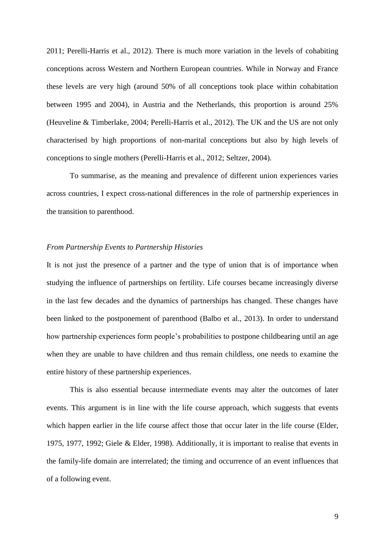[2011;](#page-25-17) [Perelli-Harris et al., 2012\)](#page-25-18). There is much more variation in the levels of cohabiting conceptions across Western and Northern European countries. While in Norway and France these levels are very high (around 50% of all conceptions took place within cohabitation between 1995 and 2004), in Austria and the Netherlands, this proportion is around 25% [\(Heuveline & Timberlake, 2004;](#page-25-3) [Perelli-Harris et al., 2012\)](#page-25-18). The UK and the US are not only characterised by high proportions of non-marital conceptions but also by high levels of conceptions to single mothers [\(Perelli-Harris et al., 2012;](#page-25-18) [Seltzer, 2004\)](#page-26-12).

To summarise, as the meaning and prevalence of different union experiences varies across countries, I expect cross-national differences in the role of partnership experiences in the transition to parenthood.

## *From Partnership Events to Partnership Histories*

It is not just the presence of a partner and the type of union that is of importance when studying the influence of partnerships on fertility. Life courses became increasingly diverse in the last few decades and the dynamics of partnerships has changed. These changes have been linked to the postponement of parenthood [\(Balbo et al., 2013\)](#page-24-14). In order to understand how partnership experiences form people's probabilities to postpone childbearing until an age when they are unable to have children and thus remain childless, one needs to examine the entire history of these partnership experiences.

This is also essential because intermediate events may alter the outcomes of later events. This argument is in line with the life course approach, which suggests that events which happen earlier in the life course affect those that occur later in the life course [\(Elder,](#page-24-18)  [1975,](#page-24-18) [1977,](#page-24-0) [1992;](#page-24-1) [Giele & Elder, 1998\)](#page-25-7). Additionally, it is important to realise that events in the family-life domain are interrelated; the timing and occurrence of an event influences that of a following event.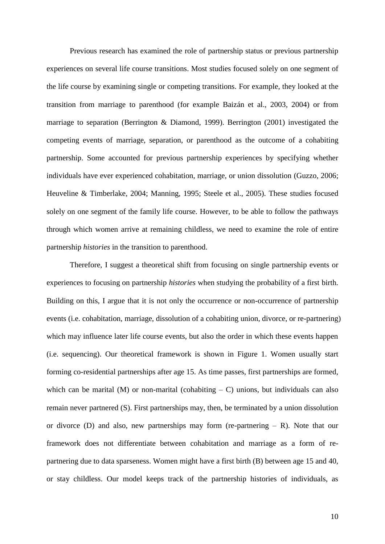Previous research has examined the role of partnership status or previous partnership experiences on several life course transitions. Most studies focused solely on one segment of the life course by examining single or competing transitions. For example, they looked at the transition from marriage to parenthood (for example [Baizán et al., 2003,](#page-24-2) [2004\)](#page-24-3) or from marriage to separation [\(Berrington & Diamond, 1999\)](#page-24-19). [Berrington \(2001\)](#page-24-20) investigated the competing events of marriage, separation, or parenthood as the outcome of a cohabiting partnership. Some accounted for previous partnership experiences by specifying whether individuals have ever experienced cohabitation, marriage, or union dissolution [\(Guzzo, 2006;](#page-25-6) [Heuveline & Timberlake, 2004;](#page-25-3) [Manning, 1995;](#page-25-4) [Steele et al., 2005\)](#page-26-2). These studies focused solely on one segment of the family life course. However, to be able to follow the pathways through which women arrive at remaining childless, we need to examine the role of entire partnership *histories* in the transition to parenthood.

Therefore, I suggest a theoretical shift from focusing on single partnership events or experiences to focusing on partnership *histories* when studying the probability of a first birth. Building on this, I argue that it is not only the occurrence or non-occurrence of partnership events (i.e. cohabitation, marriage, dissolution of a cohabiting union, divorce, or re-partnering) which may influence later life course events, but also the order in which these events happen (i.e. sequencing). Our theoretical framework is shown in Figure 1. Women usually start forming co-residential partnerships after age 15. As time passes, first partnerships are formed, which can be marital (M) or non-marital (cohabiting  $- C$ ) unions, but individuals can also remain never partnered (S). First partnerships may, then, be terminated by a union dissolution or divorce (D) and also, new partnerships may form (re-partnering  $- R$ ). Note that our framework does not differentiate between cohabitation and marriage as a form of repartnering due to data sparseness. Women might have a first birth (B) between age 15 and 40, or stay childless. Our model keeps track of the partnership histories of individuals, as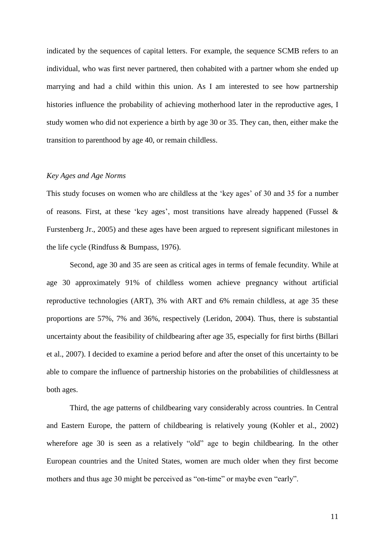indicated by the sequences of capital letters. For example, the sequence SCMB refers to an individual, who was first never partnered, then cohabited with a partner whom she ended up marrying and had a child within this union. As I am interested to see how partnership histories influence the probability of achieving motherhood later in the reproductive ages, I study women who did not experience a birth by age 30 or 35. They can, then, either make the transition to parenthood by age 40, or remain childless.

## *Key Ages and Age Norms*

This study focuses on women who are childless at the 'key ages' of 30 and 35 for a number of reasons. First, at these 'key ages', most transitions have already happened [\(Fussel &](#page-24-21)  [Furstenberg Jr., 2005\)](#page-24-21) and these ages have been argued to represent significant milestones in the life cycle [\(Rindfuss & Bumpass, 1976\)](#page-26-13).

Second, age 30 and 35 are seen as critical ages in terms of female fecundity. While at age 30 approximately 91% of childless women achieve pregnancy without artificial reproductive technologies (ART), 3% with ART and 6% remain childless, at age 35 these proportions are 57%, 7% and 36%, respectively [\(Leridon,](#page-25-2) 2004). Thus, there is substantial uncertainty about the feasibility of childbearing after age 35, especially for first births [\(Billari](#page-24-15)  [et al., 2007\)](#page-24-15). I decided to examine a period before and after the onset of this uncertainty to be able to compare the influence of partnership histories on the probabilities of childlessness at both ages.

Third, the age patterns of childbearing vary considerably across countries. In Central and Eastern Europe, the pattern of childbearing is relatively young [\(Kohler et al., 2002\)](#page-25-11) wherefore age 30 is seen as a relatively "old" age to begin childbearing. In the other European countries and the United States, women are much older when they first become mothers and thus age 30 might be perceived as "on-time" or maybe even "early".

11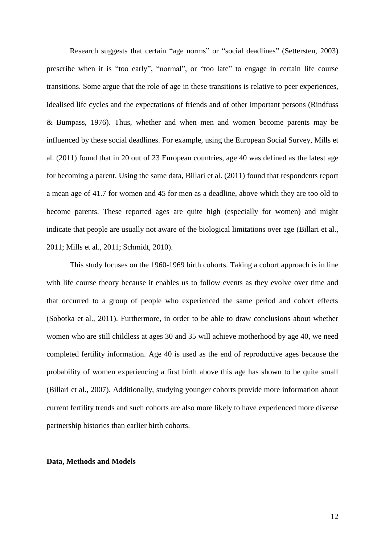Research suggests that certain "age norms" or "social deadlines" [\(Settersten, 2003\)](#page-26-14) prescribe when it is "too early", "normal", or "too late" to engage in certain life course transitions. Some argue that the role of age in these transitions is relative to peer experiences, idealised life cycles and the expectations of friends and of other important persons [\(Rindfuss](#page-26-13)  [& Bumpass, 1976\)](#page-26-13). Thus, whether and when men and women become parents may be influenced by these social deadlines. For example, using the European Social Survey, [Mills et](#page-25-9)  [al. \(2011\)](#page-25-9) found that in 20 out of 23 European countries, age 40 was defined as the latest age for becoming a parent. Using the same data, [Billari et al. \(2011\)](#page-24-12) found that respondents report a mean age of 41.7 for women and 45 for men as a deadline, above which they are too old to become parents. These reported ages are quite high (especially for women) and might indicate that people are usually not aware of the biological limitations over age [\(Billari et al.,](#page-24-12)  [2011;](#page-24-12) [Mills et al., 2011;](#page-25-9) [Schmidt, 2010\)](#page-26-6).

This study focuses on the 1960-1969 birth cohorts. Taking a cohort approach is in line with life course theory because it enables us to follow events as they evolve over time and that occurred to a group of people who experienced the same period and cohort effects [\(Sobotka et al., 2011\)](#page-26-4). Furthermore, in order to be able to draw conclusions about whether women who are still childless at ages 30 and 35 will achieve motherhood by age 40, we need completed fertility information. Age 40 is used as the end of reproductive ages because the probability of women experiencing a first birth above this age has shown to be quite small [\(Billari et al., 2007\)](#page-24-15). Additionally, studying younger cohorts provide more information about current fertility trends and such cohorts are also more likely to have experienced more diverse partnership histories than earlier birth cohorts.

#### **Data, Methods and Models**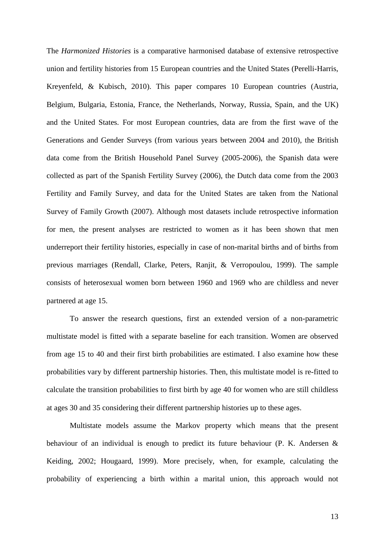The *Harmonized Histories* is a comparative harmonised database of extensive retrospective union and fertility histories from 15 European countries and the United States [\(Perelli-Harris,](#page-25-19)  [Kreyenfeld, & Kubisch, 2010\)](#page-25-19). This paper compares 10 European countries (Austria, Belgium, Bulgaria, Estonia, France, the Netherlands, Norway, Russia, Spain, and the UK) and the United States. For most European countries, data are from the first wave of the Generations and Gender Surveys (from various years between 2004 and 2010), the British data come from the British Household Panel Survey (2005-2006), the Spanish data were collected as part of the Spanish Fertility Survey (2006), the Dutch data come from the 2003 Fertility and Family Survey, and data for the United States are taken from the National Survey of Family Growth (2007). Although most datasets include retrospective information for men, the present analyses are restricted to women as it has been shown that men underreport their fertility histories, especially in case of non-marital births and of births from previous marriages [\(Rendall, Clarke, Peters, Ranjit, & Verropoulou, 1999\)](#page-26-15). The sample consists of heterosexual women born between 1960 and 1969 who are childless and never partnered at age 15.

To answer the research questions, first an extended version of a non-parametric multistate model is fitted with a separate baseline for each transition. Women are observed from age 15 to 40 and their first birth probabilities are estimated. I also examine how these probabilities vary by different partnership histories. Then, this multistate model is re-fitted to calculate the transition probabilities to first birth by age 40 for women who are still childless at ages 30 and 35 considering their different partnership histories up to these ages.

Multistate models assume the Markov property which means that the present behaviour of an individual is enough to predict its future behaviour [\(P. K. Andersen &](#page-24-22)  [Keiding, 2002;](#page-24-22) [Hougaard, 1999\)](#page-25-20). More precisely, when, for example, calculating the probability of experiencing a birth within a marital union, this approach would not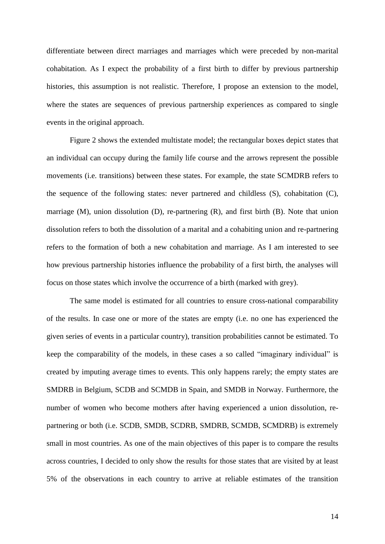differentiate between direct marriages and marriages which were preceded by non-marital cohabitation. As I expect the probability of a first birth to differ by previous partnership histories, this assumption is not realistic. Therefore, I propose an extension to the model, where the states are sequences of previous partnership experiences as compared to single events in the original approach.

Figure 2 shows the extended multistate model; the rectangular boxes depict states that an individual can occupy during the family life course and the arrows represent the possible movements (i.e. transitions) between these states. For example, the state SCMDRB refers to the sequence of the following states: never partnered and childless (S), cohabitation (C), marriage (M), union dissolution (D), re-partnering (R), and first birth (B). Note that union dissolution refers to both the dissolution of a marital and a cohabiting union and re-partnering refers to the formation of both a new cohabitation and marriage. As I am interested to see how previous partnership histories influence the probability of a first birth, the analyses will focus on those states which involve the occurrence of a birth (marked with grey).

The same model is estimated for all countries to ensure cross-national comparability of the results. In case one or more of the states are empty (i.e. no one has experienced the given series of events in a particular country), transition probabilities cannot be estimated. To keep the comparability of the models, in these cases a so called "imaginary individual" is created by imputing average times to events. This only happens rarely; the empty states are SMDRB in Belgium, SCDB and SCMDB in Spain, and SMDB in Norway. Furthermore, the number of women who become mothers after having experienced a union dissolution, repartnering or both (i.e. SCDB, SMDB, SCDRB, SMDRB, SCMDB, SCMDRB) is extremely small in most countries. As one of the main objectives of this paper is to compare the results across countries, I decided to only show the results for those states that are visited by at least 5% of the observations in each country to arrive at reliable estimates of the transition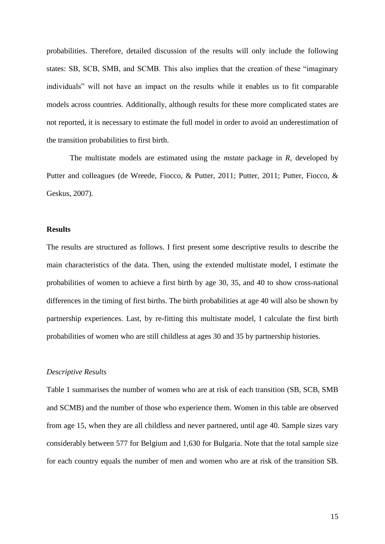probabilities. Therefore, detailed discussion of the results will only include the following states: SB, SCB, SMB, and SCMB. This also implies that the creation of these "imaginary individuals" will not have an impact on the results while it enables us to fit comparable models across countries. Additionally, although results for these more complicated states are not reported, it is necessary to estimate the full model in order to avoid an underestimation of the transition probabilities to first birth.

The multistate models are estimated using the *mstate* package in *R*, developed by Putter and colleagues [\(de Wreede, Fiocco, & Putter, 2011;](#page-24-23) [Putter,](#page-25-21) 2011; [Putter, Fiocco, &](#page-25-22)  [Geskus, 2007\)](#page-25-22).

## **Results**

The results are structured as follows. I first present some descriptive results to describe the main characteristics of the data. Then, using the extended multistate model, I estimate the probabilities of women to achieve a first birth by age 30, 35, and 40 to show cross-national differences in the timing of first births. The birth probabilities at age 40 will also be shown by partnership experiences. Last, by re-fitting this multistate model, I calculate the first birth probabilities of women who are still childless at ages 30 and 35 by partnership histories.

## *Descriptive Results*

Table 1 summarises the number of women who are at risk of each transition (SB, SCB, SMB and SCMB) and the number of those who experience them. Women in this table are observed from age 15, when they are all childless and never partnered, until age 40. Sample sizes vary considerably between 577 for Belgium and 1,630 for Bulgaria. Note that the total sample size for each country equals the number of men and women who are at risk of the transition SB.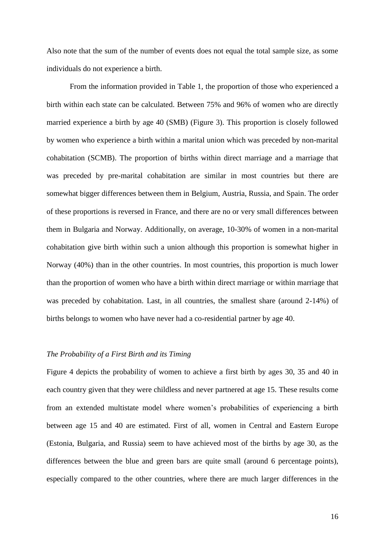Also note that the sum of the number of events does not equal the total sample size, as some individuals do not experience a birth.

From the information provided in Table 1, the proportion of those who experienced a birth within each state can be calculated. Between 75% and 96% of women who are directly married experience a birth by age 40 (SMB) (Figure 3). This proportion is closely followed by women who experience a birth within a marital union which was preceded by non-marital cohabitation (SCMB). The proportion of births within direct marriage and a marriage that was preceded by pre-marital cohabitation are similar in most countries but there are somewhat bigger differences between them in Belgium, Austria, Russia, and Spain. The order of these proportions is reversed in France, and there are no or very small differences between them in Bulgaria and Norway. Additionally, on average, 10-30% of women in a non-marital cohabitation give birth within such a union although this proportion is somewhat higher in Norway (40%) than in the other countries. In most countries, this proportion is much lower than the proportion of women who have a birth within direct marriage or within marriage that was preceded by cohabitation. Last, in all countries, the smallest share (around 2-14%) of births belongs to women who have never had a co-residential partner by age 40.

## *The Probability of a First Birth and its Timing*

Figure 4 depicts the probability of women to achieve a first birth by ages 30, 35 and 40 in each country given that they were childless and never partnered at age 15. These results come from an extended multistate model where women's probabilities of experiencing a birth between age 15 and 40 are estimated. First of all, women in Central and Eastern Europe (Estonia, Bulgaria, and Russia) seem to have achieved most of the births by age 30, as the differences between the blue and green bars are quite small (around 6 percentage points), especially compared to the other countries, where there are much larger differences in the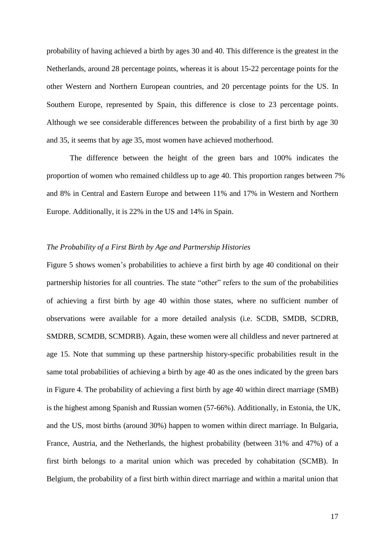probability of having achieved a birth by ages 30 and 40. This difference is the greatest in the Netherlands, around 28 percentage points, whereas it is about 15-22 percentage points for the other Western and Northern European countries, and 20 percentage points for the US. In Southern Europe, represented by Spain, this difference is close to 23 percentage points. Although we see considerable differences between the probability of a first birth by age 30 and 35, it seems that by age 35, most women have achieved motherhood.

The difference between the height of the green bars and 100% indicates the proportion of women who remained childless up to age 40. This proportion ranges between 7% and 8% in Central and Eastern Europe and between 11% and 17% in Western and Northern Europe. Additionally, it is 22% in the US and 14% in Spain.

## *The Probability of a First Birth by Age and Partnership Histories*

Figure 5 shows women's probabilities to achieve a first birth by age 40 conditional on their partnership histories for all countries. The state "other" refers to the sum of the probabilities of achieving a first birth by age 40 within those states, where no sufficient number of observations were available for a more detailed analysis (i.e. SCDB, SMDB, SCDRB, SMDRB, SCMDB, SCMDRB). Again, these women were all childless and never partnered at age 15. Note that summing up these partnership history-specific probabilities result in the same total probabilities of achieving a birth by age 40 as the ones indicated by the green bars in Figure 4. The probability of achieving a first birth by age 40 within direct marriage (SMB) is the highest among Spanish and Russian women (57-66%). Additionally, in Estonia, the UK, and the US, most births (around 30%) happen to women within direct marriage. In Bulgaria, France, Austria, and the Netherlands, the highest probability (between 31% and 47%) of a first birth belongs to a marital union which was preceded by cohabitation (SCMB). In Belgium, the probability of a first birth within direct marriage and within a marital union that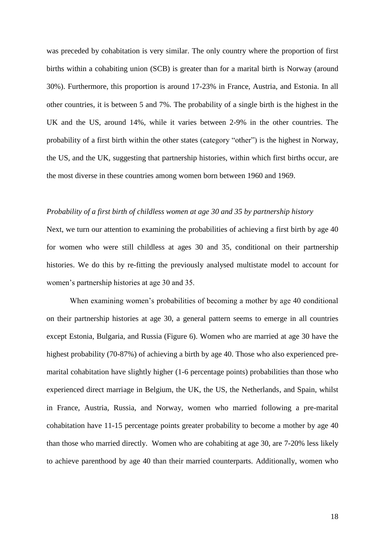was preceded by cohabitation is very similar. The only country where the proportion of first births within a cohabiting union (SCB) is greater than for a marital birth is Norway (around 30%). Furthermore, this proportion is around 17-23% in France, Austria, and Estonia. In all other countries, it is between 5 and 7%. The probability of a single birth is the highest in the UK and the US, around 14%, while it varies between 2-9% in the other countries. The probability of a first birth within the other states (category "other") is the highest in Norway, the US, and the UK, suggesting that partnership histories, within which first births occur, are the most diverse in these countries among women born between 1960 and 1969.

#### *Probability of a first birth of childless women at age 30 and 35 by partnership history*

Next, we turn our attention to examining the probabilities of achieving a first birth by age 40 for women who were still childless at ages 30 and 35, conditional on their partnership histories. We do this by re-fitting the previously analysed multistate model to account for women's partnership histories at age 30 and 35.

When examining women's probabilities of becoming a mother by age 40 conditional on their partnership histories at age 30, a general pattern seems to emerge in all countries except Estonia, Bulgaria, and Russia (Figure 6). Women who are married at age 30 have the highest probability (70-87%) of achieving a birth by age 40. Those who also experienced premarital cohabitation have slightly higher (1-6 percentage points) probabilities than those who experienced direct marriage in Belgium, the UK, the US, the Netherlands, and Spain, whilst in France, Austria, Russia, and Norway, women who married following a pre-marital cohabitation have 11-15 percentage points greater probability to become a mother by age 40 than those who married directly. Women who are cohabiting at age 30, are 7-20% less likely to achieve parenthood by age 40 than their married counterparts. Additionally, women who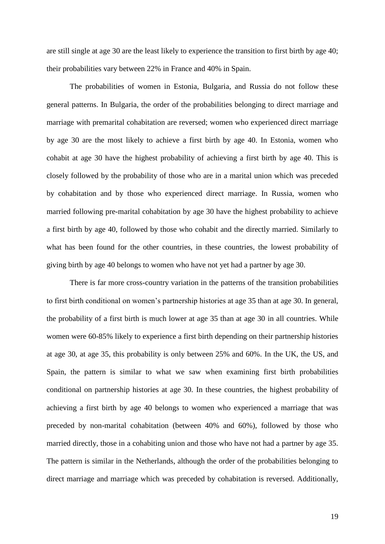are still single at age 30 are the least likely to experience the transition to first birth by age 40; their probabilities vary between 22% in France and 40% in Spain.

The probabilities of women in Estonia, Bulgaria, and Russia do not follow these general patterns. In Bulgaria, the order of the probabilities belonging to direct marriage and marriage with premarital cohabitation are reversed; women who experienced direct marriage by age 30 are the most likely to achieve a first birth by age 40. In Estonia, women who cohabit at age 30 have the highest probability of achieving a first birth by age 40. This is closely followed by the probability of those who are in a marital union which was preceded by cohabitation and by those who experienced direct marriage. In Russia, women who married following pre-marital cohabitation by age 30 have the highest probability to achieve a first birth by age 40, followed by those who cohabit and the directly married. Similarly to what has been found for the other countries, in these countries, the lowest probability of giving birth by age 40 belongs to women who have not yet had a partner by age 30.

There is far more cross-country variation in the patterns of the transition probabilities to first birth conditional on women's partnership histories at age 35 than at age 30. In general, the probability of a first birth is much lower at age 35 than at age 30 in all countries. While women were 60-85% likely to experience a first birth depending on their partnership histories at age 30, at age 35, this probability is only between 25% and 60%. In the UK, the US, and Spain, the pattern is similar to what we saw when examining first birth probabilities conditional on partnership histories at age 30. In these countries, the highest probability of achieving a first birth by age 40 belongs to women who experienced a marriage that was preceded by non-marital cohabitation (between 40% and 60%), followed by those who married directly, those in a cohabiting union and those who have not had a partner by age 35. The pattern is similar in the Netherlands, although the order of the probabilities belonging to direct marriage and marriage which was preceded by cohabitation is reversed. Additionally,

19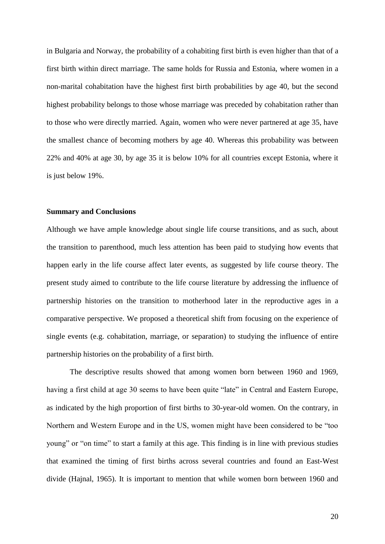in Bulgaria and Norway, the probability of a cohabiting first birth is even higher than that of a first birth within direct marriage. The same holds for Russia and Estonia, where women in a non-marital cohabitation have the highest first birth probabilities by age 40, but the second highest probability belongs to those whose marriage was preceded by cohabitation rather than to those who were directly married. Again, women who were never partnered at age 35, have the smallest chance of becoming mothers by age 40. Whereas this probability was between 22% and 40% at age 30, by age 35 it is below 10% for all countries except Estonia, where it is just below 19%.

## **Summary and Conclusions**

Although we have ample knowledge about single life course transitions, and as such, about the transition to parenthood, much less attention has been paid to studying how events that happen early in the life course affect later events, as suggested by life course theory. The present study aimed to contribute to the life course literature by addressing the influence of partnership histories on the transition to motherhood later in the reproductive ages in a comparative perspective. We proposed a theoretical shift from focusing on the experience of single events (e.g. cohabitation, marriage, or separation) to studying the influence of entire partnership histories on the probability of a first birth.

The descriptive results showed that among women born between 1960 and 1969, having a first child at age 30 seems to have been quite "late" in Central and Eastern Europe, as indicated by the high proportion of first births to 30-year-old women. On the contrary, in Northern and Western Europe and in the US, women might have been considered to be "too young" or "on time" to start a family at this age. This finding is in line with previous studies that examined the timing of first births across several countries and found an East-West divide [\(Hajnal, 1965\)](#page-25-23). It is important to mention that while women born between 1960 and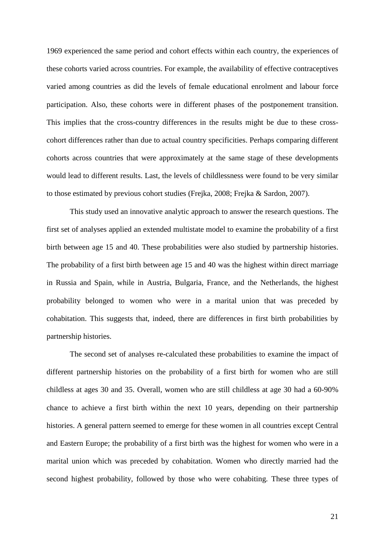1969 experienced the same period and cohort effects within each country, the experiences of these cohorts varied across countries. For example, the availability of effective contraceptives varied among countries as did the levels of female educational enrolment and labour force participation. Also, these cohorts were in different phases of the postponement transition. This implies that the cross-country differences in the results might be due to these crosscohort differences rather than due to actual country specificities. Perhaps comparing different cohorts across countries that were approximately at the same stage of these developments would lead to different results. Last, the levels of childlessness were found to be very similar to those estimated by previous cohort studies [\(Frejka, 2008;](#page-24-10) [Frejka & Sardon, 2007\)](#page-24-11).

This study used an innovative analytic approach to answer the research questions. The first set of analyses applied an extended multistate model to examine the probability of a first birth between age 15 and 40. These probabilities were also studied by partnership histories. The probability of a first birth between age 15 and 40 was the highest within direct marriage in Russia and Spain, while in Austria, Bulgaria, France, and the Netherlands, the highest probability belonged to women who were in a marital union that was preceded by cohabitation. This suggests that, indeed, there are differences in first birth probabilities by partnership histories.

The second set of analyses re-calculated these probabilities to examine the impact of different partnership histories on the probability of a first birth for women who are still childless at ages 30 and 35. Overall, women who are still childless at age 30 had a 60-90% chance to achieve a first birth within the next 10 years, depending on their partnership histories. A general pattern seemed to emerge for these women in all countries except Central and Eastern Europe; the probability of a first birth was the highest for women who were in a marital union which was preceded by cohabitation. Women who directly married had the second highest probability, followed by those who were cohabiting. These three types of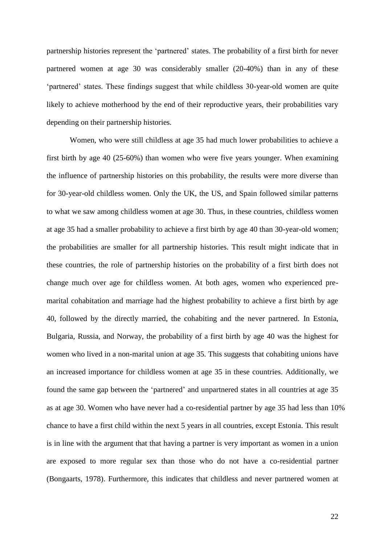partnership histories represent the 'partnered' states. The probability of a first birth for never partnered women at age 30 was considerably smaller (20-40%) than in any of these 'partnered' states. These findings suggest that while childless 30-year-old women are quite likely to achieve motherhood by the end of their reproductive years, their probabilities vary depending on their partnership histories.

Women, who were still childless at age 35 had much lower probabilities to achieve a first birth by age 40 (25-60%) than women who were five years younger. When examining the influence of partnership histories on this probability, the results were more diverse than for 30-year-old childless women. Only the UK, the US, and Spain followed similar patterns to what we saw among childless women at age 30. Thus, in these countries, childless women at age 35 had a smaller probability to achieve a first birth by age 40 than 30-year-old women; the probabilities are smaller for all partnership histories. This result might indicate that in these countries, the role of partnership histories on the probability of a first birth does not change much over age for childless women. At both ages, women who experienced premarital cohabitation and marriage had the highest probability to achieve a first birth by age 40, followed by the directly married, the cohabiting and the never partnered. In Estonia, Bulgaria, Russia, and Norway, the probability of a first birth by age 40 was the highest for women who lived in a non-marital union at age 35. This suggests that cohabiting unions have an increased importance for childless women at age 35 in these countries. Additionally, we found the same gap between the 'partnered' and unpartnered states in all countries at age 35 as at age 30. Women who have never had a co-residential partner by age 35 had less than 10% chance to have a first child within the next 5 years in all countries, except Estonia. This result is in line with the argument that that having a partner is very important as women in a union are exposed to more regular sex than those who do not have a co-residential partner [\(Bongaarts, 1978\)](#page-24-16). Furthermore, this indicates that childless and never partnered women at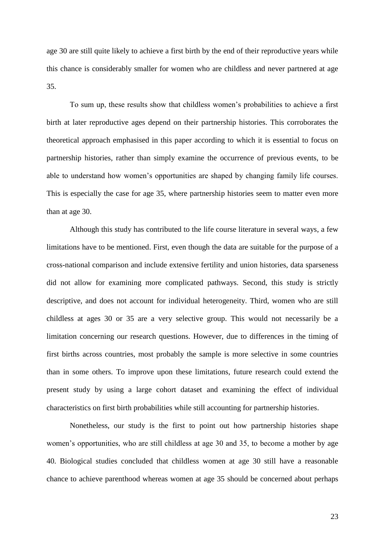age 30 are still quite likely to achieve a first birth by the end of their reproductive years while this chance is considerably smaller for women who are childless and never partnered at age 35.

To sum up, these results show that childless women's probabilities to achieve a first birth at later reproductive ages depend on their partnership histories. This corroborates the theoretical approach emphasised in this paper according to which it is essential to focus on partnership histories, rather than simply examine the occurrence of previous events, to be able to understand how women's opportunities are shaped by changing family life courses. This is especially the case for age 35, where partnership histories seem to matter even more than at age 30.

Although this study has contributed to the life course literature in several ways, a few limitations have to be mentioned. First, even though the data are suitable for the purpose of a cross-national comparison and include extensive fertility and union histories, data sparseness did not allow for examining more complicated pathways. Second, this study is strictly descriptive, and does not account for individual heterogeneity. Third, women who are still childless at ages 30 or 35 are a very selective group. This would not necessarily be a limitation concerning our research questions. However, due to differences in the timing of first births across countries, most probably the sample is more selective in some countries than in some others. To improve upon these limitations, future research could extend the present study by using a large cohort dataset and examining the effect of individual characteristics on first birth probabilities while still accounting for partnership histories.

Nonetheless, our study is the first to point out how partnership histories shape women's opportunities, who are still childless at age 30 and 35, to become a mother by age 40. Biological studies concluded that childless women at age 30 still have a reasonable chance to achieve parenthood whereas women at age 35 should be concerned about perhaps

23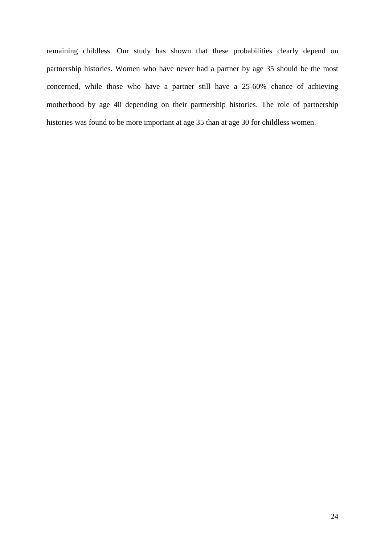remaining childless. Our study has shown that these probabilities clearly depend on partnership histories. Women who have never had a partner by age 35 should be the most concerned, while those who have a partner still have a 25-60% chance of achieving motherhood by age 40 depending on their partnership histories. The role of partnership histories was found to be more important at age 35 than at age 30 for childless women.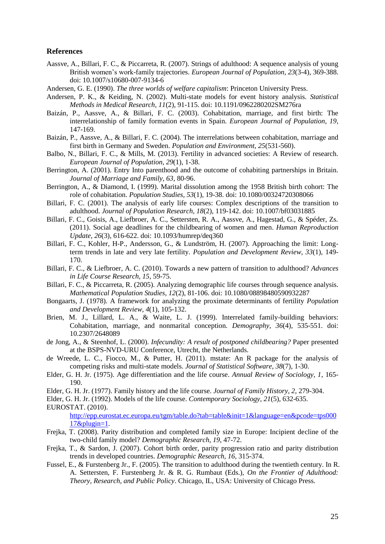#### **References**

- <span id="page-24-4"></span>Aassve, A., Billari, F. C., & Piccarreta, R. (2007). Strings of adulthood: A sequence analysis of young British women's work-family trajectories. *European Journal of Population, 23*(3-4), 369-388. doi: 10.1007/s10680-007-9134-6
- <span id="page-24-8"></span>Andersen, G. E. (1990). *The three worlds of welfare capitalism*: Princeton University Press.
- <span id="page-24-22"></span>Andersen, P. K., & Keiding, N. (2002). Multi-state models for event history analysis. *Statistical Methods in Medical Research, 11*(2), 91-115. doi: 10.1191/0962280202SM276ra
- <span id="page-24-2"></span>Baizán, P., Aassve, A., & Billari, F. C. (2003). Cohabitation, marriage, and first birth: The interrelationship of family formation events in Spain. *European Journal of Population, 19*, 147-169.
- <span id="page-24-3"></span>Baizán, P., Aassve, A., & Billari, F. C. (2004). The interrelations between cohabitation, marriage and first birth in Germany and Sweden. *Population and Environment, 25*(531-560).
- <span id="page-24-14"></span>Balbo, N., Billari, F. C., & Mills, M. (2013). Fertility in advanced societies: A Review of research. *European Journal of Population, 29*(1), 1-38.
- <span id="page-24-20"></span>Berrington, A. (2001). Entry Into parenthood and the outcome of cohabiting partnerships in Britain. *Journal of Marriage and Family, 63*, 80-96.
- <span id="page-24-19"></span>Berrington, A., & Diamond, I. (1999). Marital dissolution among the 1958 British birth cohort: The role of cohabitation. *Population Studies, 53*(1), 19-38. doi: 10.1080/00324720308066
- <span id="page-24-5"></span>Billari, F. C. (2001). The analysis of early life courses: Complex descriptions of the transition to adulthood. *Journal of Population Research, 18*(2), 119-142. doi: 10.1007/bf03031885
- <span id="page-24-12"></span>Billari, F. C., Goisis, A., Liefbroer, A. C., Settersten, R. A., Aassve, A., Hagestad, G., & Spéder, Zs. (2011). Social age deadlines for the childbearing of women and men. *Human Reproduction Update, 26*(3), 616-622. doi: 10.1093/humrep/deq360
- <span id="page-24-15"></span>Billari, F. C., Kohler, H-P., Andersson, G., & Lundström, H. (2007). Approaching the limit: Longterm trends in late and very late fertility. *Population and Development Review, 33*(1), 149- 170.
- <span id="page-24-7"></span>Billari, F. C., & Liefbroer, A. C. (2010). Towards a new pattern of transition to adulthood? *Advances in Life Course Research, 15*, 59-75.
- <span id="page-24-6"></span>Billari, F. C., & Piccarreta, R. (2005). Analyzing demographic life courses through sequence analysis. *Mathematical Population Studies, 12*(2), 81-106. doi: 10.1080/08898480590932287
- <span id="page-24-16"></span>Bongaarts, J. (1978). A framework for analyzing the proximate determinants of fertility *Population and Development Review, 4*(1), 105-132.
- <span id="page-24-17"></span>Brien, M. J., Lillard, L. A., & Waite, L. J. (1999). Interrelated family-building behaviors: Cohabitation, marriage, and nonmarital conception. *Demography, 36*(4), 535-551. doi: 10.2307/2648089
- <span id="page-24-13"></span>de Jong, A., & Steenhof, L. (2000). *Infecundity: A result of postponed childbearing?* Paper presented at the BSPS-NVD-URU Conference, Utrecht, the Netherlands.
- <span id="page-24-23"></span>de Wreede, L. C., Fiocco, M., & Putter, H. (2011). mstate: An R package for the analysis of competing risks and multi-state models. *Journal of Statistical Software, 38*(7), 1-30.
- <span id="page-24-18"></span>Elder, G. H. Jr. (1975). Age differentiation and the life course. *Annual Review of Sociology, 1*, 165- 190.
- <span id="page-24-0"></span>Elder, G. H. Jr. (1977). Family history and the life course. *Journal of Family History, 2*, 279-304.
- <span id="page-24-9"></span><span id="page-24-1"></span>Elder, G. H. Jr. (1992). Models of the life course. *Contemporary Sociology, 21*(5), 632-635. EUROSTAT. (2010).

[http://epp.eurostat.ec.europa.eu/tgm/table.do?tab=table&init=1&language=en&pcode=tps000](http://epp.eurostat.ec.europa.eu/tgm/table.do?tab=table&init=1&language=en&pcode=tps00017&plugin=1) [17&plugin=1.](http://epp.eurostat.ec.europa.eu/tgm/table.do?tab=table&init=1&language=en&pcode=tps00017&plugin=1)

- <span id="page-24-10"></span>Frejka, T. (2008). Parity distribution and completed family size in Europe: Incipient decline of the two-child family model? *Demographic Research, 19*, 47-72.
- <span id="page-24-11"></span>Frejka, T., & Sardon, J. (2007). Cohort birth order, parity progression ratio and parity distribution trends in developed countries. *Demographic Research, 16*, 315-374.
- <span id="page-24-21"></span>Fussel, E., & Furstenberg Jr., F. (2005). The transition to adulthood during the twentieth century. In R. A. Settersten, F. Furstenberg Jr. & R. G. Rumbaut (Eds.), *On the Frontier of Adulthood: Theory, Research, and Public Policy*. Chicago, IL, USA: University of Chicago Press.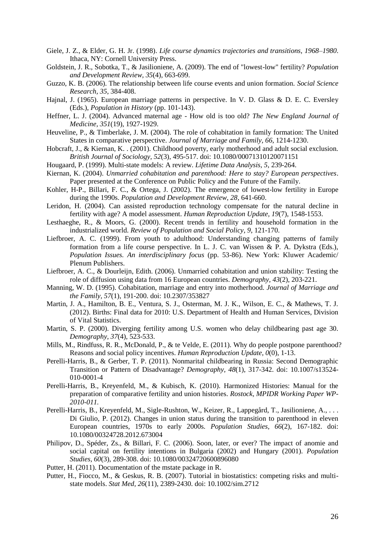- <span id="page-25-7"></span>Giele, J. Z., & Elder, G. H. Jr. (1998). *Life course dynamics trajectories and transitions, 1968–1980*. Ithaca, NY: Cornell University Press.
- <span id="page-25-8"></span>Goldstein, J. R., Sobotka, T., & Jasilioniene, A. (2009). The end of "lowest-low" fertility? *Population and Development Review, 35*(4), 663-699.
- <span id="page-25-6"></span>Guzzo, K. B. (2006). The relationship between life course events and union formation. *Social Science Research, 35*, 384-408.
- <span id="page-25-23"></span>Hajnal, J. (1965). European marriage patterns in perspective. In V. D. Glass & D. E. C. Eversley (Eds.), *Population in History* (pp. 101-143).
- <span id="page-25-1"></span>Heffner, L. J. (2004). Advanced maternal age - How old is too old? *The New England Journal of Medicine, 351*(19), 1927-1929.
- <span id="page-25-3"></span>Heuveline, P., & Timberlake, J. M. (2004). The role of cohabitation in family formation: The United States in comparative perspective. *Journal of Marriage and Family, 66*, 1214-1230.
- <span id="page-25-12"></span>Hobcraft, J., & Kiernan, K. . (2001). Childhood poverty, early motherhood and adult social exclusion. *British Journal of Sociology, 52*(3), 495-517. doi: 10.1080/00071310120071151
- <span id="page-25-20"></span>Hougaard, P. (1999). Multi-state models: A review. *Lifetime Data Analysis, 5*, 239-264.
- <span id="page-25-15"></span>Kiernan, K. (2004). *Unmarried cohabitation and parenthood: Here to stay? European perspectives*. Paper presented at the Conference on Public Policy and the Future of the Family.
- <span id="page-25-11"></span>Kohler, H-P., Billari, F. C., & Ortega, J. (2002). The emergence of lowest-low fertility in Europe during the 1990s. *Population and Development Review, 28*, 641-660.
- <span id="page-25-2"></span>Leridon, H. (2004). Can assisted reproduction technology compensate for the natural decline in fertility with age? A model assessment. *Human Reproduction Update, 19*(7), 1548-1553.
- <span id="page-25-16"></span>Lesthaeghe, R., & Moors, G. (2000). Recent trends in fertility and household formation in the industrialized world. *Review of Population and Social Policy, 9*, 121-170.
- <span id="page-25-0"></span>Liefbroer, A. C. (1999). From youth to adulthood: Understanding changing patterns of family formation from a life course perspective. In L. J. C. van Wissen & P. A. Dykstra (Eds.), *Population Issues. An interdisciplinary focus* (pp. 53-86). New York: Kluwer Academic/ Plenum Publishers.
- <span id="page-25-14"></span>Liefbroer, A. C., & Dourleijn, Edith. (2006). Unmarried cohabitation and union stability: Testing the role of diffusion using data from 16 European countries. *Demography, 43*(2), 203-221.
- <span id="page-25-4"></span>Manning, W. D. (1995). Cohabitation, marriage and entry into motherhood. *Journal of Marriage and the Family, 57*(1), 191-200. doi: 10.2307/353827
- <span id="page-25-10"></span>Martin, J. A., Hamilton, B. E., Ventura, S. J., Osterman, M. J. K., Wilson, E. C., & Mathews, T. J. (2012). Births: Final data for 2010: U.S. Department of Health and Human Services, Division of Vital Statistics.
- <span id="page-25-5"></span>Martin, S. P. (2000). Diverging fertility among U.S. women who delay childbearing past age 30. *Demography, 37*(4), 523-533.
- <span id="page-25-9"></span>Mills, M., Rindfuss, R. R., McDonald, P., & te Velde, E. (2011). Why do people postpone parenthood? Reasons and social policy incentives. *Human Reproduction Update, 0*(0), 1-13.
- <span id="page-25-17"></span>Perelli-Harris, B., & Gerber, T. P. (2011). Nonmarital childbearing in Russia: Second Demographic Transition or Pattern of Disadvantage? *Demography, 48*(1), 317-342. doi: 10.1007/s13524- 010-0001-4
- <span id="page-25-19"></span>Perelli-Harris, B., Kreyenfeld, M., & Kubisch, K. (2010). Harmonized Histories: Manual for the preparation of comparative fertility and union histories. *Rostock, MPIDR Working Paper WP-2010-011.*
- <span id="page-25-18"></span>Perelli-Harris, B., Kreyenfeld, M., Sigle-Rushton, W., Keizer, R., Lappegård, T., Jasilioniene, A., . . . Di Giulio, P. (2012). Changes in union status during the transition to parenthood in eleven European countries, 1970s to early 2000s. *Population Studies, 66*(2), 167-182. doi: 10.1080/00324728.2012.673004
- <span id="page-25-13"></span>Philipov, D., Spéder, Zs., & Billari, F. C. (2006). Soon, later, or ever? The impact of anomie and social capital on fertility intentions in Bulgaria (2002) and Hungary (2001). *Population Studies, 60*(3), 289-308. doi: 10.1080/00324720600896080
- <span id="page-25-21"></span>Putter, H. (2011). Documentation of the mstate package in R.
- <span id="page-25-22"></span>Putter, H., Fiocco, M., & Geskus, R. B. (2007). Tutorial in biostatistics: competing risks and multistate models. *Stat Med, 26*(11), 2389-2430. doi: 10.1002/sim.2712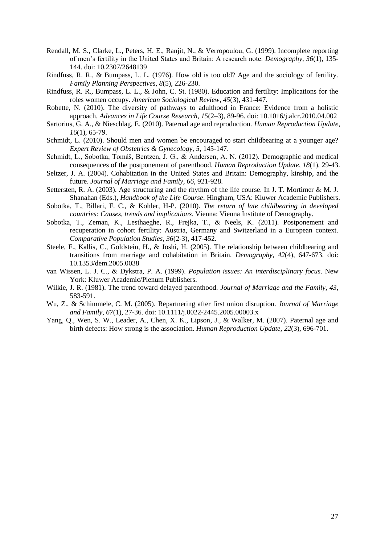- <span id="page-26-15"></span>Rendall, M. S., Clarke, L., Peters, H. E., Ranjit, N., & Verropoulou, G. (1999). Incomplete reporting of men's fertility in the United States and Britain: A research note. *Demography, 36*(1), 135- 144. doi: 10.2307/2648139
- <span id="page-26-13"></span>Rindfuss, R. R., & Bumpass, L. L. (1976). How old is too old? Age and the sociology of fertility. *Family Planning Perspectives, 8*(5), 226-230.
- <span id="page-26-10"></span>Rindfuss, R. R., Bumpass, L. L., & John, C. St. (1980). Education and fertility: Implications for the roles women occupy. *American Sociological Review, 45*(3), 431-447.
- <span id="page-26-3"></span>Robette, N. (2010). The diversity of pathways to adulthood in France: Evidence from a holistic approach. *Advances in Life Course Research, 15*(2–3), 89-96. doi: 10.1016/j.alcr.2010.04.002
- <span id="page-26-7"></span>Sartorius, G. A., & Nieschlag, E. (2010). Paternal age and reproduction. *Human Reproduction Update, 16*(1), 65-79.
- <span id="page-26-6"></span>Schmidt, L. (2010). Should men and women be encouraged to start childbearing at a younger age? *Expert Review of Obstetrics & Gynecology, 5*, 145-147.
- <span id="page-26-0"></span>Schmidt, L., Sobotka, Tomáš, Bentzen, J. G., & Andersen, A. N. (2012). Demographic and medical consequences of the postponement of parenthood. *Human Reproduction Update, 18*(1), 29-43.
- <span id="page-26-12"></span>Seltzer, J. A. (2004). Cohabitation in the United States and Britain: Demography, kinship, and the future. *Journal of Marriage and Family, 66*, 921-928.
- <span id="page-26-14"></span>Settersten, R. A. (2003). Age structuring and the rhythm of the life course. In J. T. Mortimer & M. J. Shanahan (Eds.), *Handbook of the Life Course*. Hingham, USA: Kluwer Academic Publishers.
- <span id="page-26-5"></span>Sobotka, T., Billari, F. C., & Kohler, H-P. (2010). *The return of late childbearing in developed countries: Causes, trends and implications*. Vienna: Vienna Institute of Demography.
- <span id="page-26-4"></span>Sobotka, T., Zeman, K., Lesthaeghe, R., Frejka, T., & Neels, K. (2011). Postponement and recuperation in cohort fertility: Austria, Germany and Switzerland in a European context. *Comparative Population Studies, 36*(2-3), 417-452.
- <span id="page-26-2"></span>Steele, F., Kallis, C., Goldstein, H., & Joshi, H. (2005). The relationship between childbearing and transitions from marriage and cohabitation in Britain. *Demography, 42*(4), 647-673. doi: 10.1353/dem.2005.0038
- <span id="page-26-1"></span>van Wissen, L. J. C., & Dykstra, P. A. (1999). *Population issues: An interdisciplinary focus*. New York: Kluwer Academic/Plenum Publishers.
- <span id="page-26-9"></span>Wilkie, J. R. (1981). The trend toward delayed parenthood. *Journal of Marriage and the Family, 43*, 583-591.
- <span id="page-26-11"></span>Wu, Z., & Schimmele, C. M. (2005). Repartnering after first union disruption. *Journal of Marriage and Family, 67*(1), 27-36. doi: 10.1111/j.0022-2445.2005.00003.x
- <span id="page-26-8"></span>Yang, Q., Wen, S. W., Leader, A., Chen, X. K., Lipson, J., & Walker, M. (2007). Paternal age and birth defects: How strong is the association. *Human Reproduction Update, 22*(3), 696-701.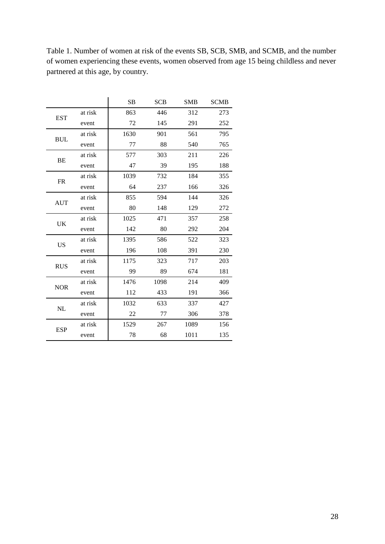|            |         | <b>SB</b> | <b>SCB</b> | <b>SMB</b> | <b>SCMB</b> |
|------------|---------|-----------|------------|------------|-------------|
| <b>EST</b> | at risk | 863       | 446        | 312        | 273         |
|            | event   | 72        | 145        | 291        | 252         |
| <b>BUL</b> | at risk | 1630      | 901        | 561        | 795         |
|            | event   | 77        | 88         | 540        | 765         |
| <b>BE</b>  | at risk | 577       | 303        | 211        | 226         |
|            | event   | 47        | 39         | 195        | 188         |
| FR         | at risk | 1039      | 732        | 184        | 355         |
|            | event   | 64        | 237        | 166        | 326         |
| <b>AUT</b> | at risk | 855       | 594        | 144        | 326         |
|            | event   | 80        | 148        | 129        | 272         |
| <b>UK</b>  | at risk | 1025      | 471        | 357        | 258         |
|            | event   | 142       | 80         | 292        | 204         |
| <b>US</b>  | at risk | 1395      | 586        | 522        | 323         |
|            | event   | 196       | 108        | 391        | 230         |
| <b>RUS</b> | at risk | 1175      | 323        | 717        | 203         |
|            | event   | 99        | 89         | 674        | 181         |
| <b>NOR</b> | at risk | 1476      | 1098       | 214        | 409         |
|            | event   | 112       | 433        | 191        | 366         |
| NL         | at risk | 1032      | 633        | 337        | 427         |
|            | event   | 22        | 77         | 306        | 378         |
| <b>ESP</b> | at risk | 1529      | 267        | 1089       | 156         |
|            | event   | 78        | 68         | 1011       | 135         |

Table 1. Number of women at risk of the events SB, SCB, SMB, and SCMB, and the number of women experiencing these events, women observed from age 15 being childless and never partnered at this age, by country.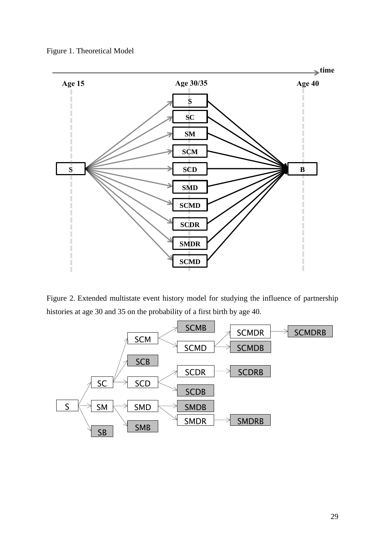



Figure 2. Extended multistate event history model for studying the influence of partnership histories at age 30 and 35 on the probability of a first birth by age 40.

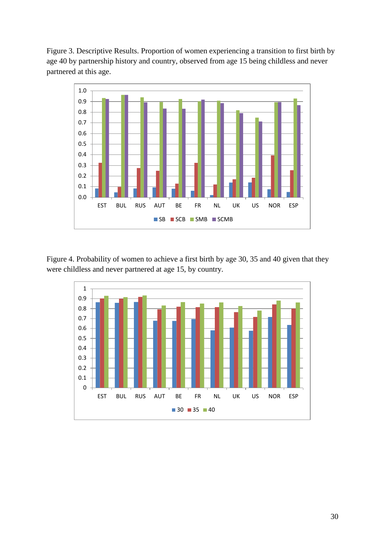Figure 3. Descriptive Results. Proportion of women experiencing a transition to first birth by age 40 by partnership history and country, observed from age 15 being childless and never partnered at this age.



Figure 4. Probability of women to achieve a first birth by age 30, 35 and 40 given that they were childless and never partnered at age 15, by country.

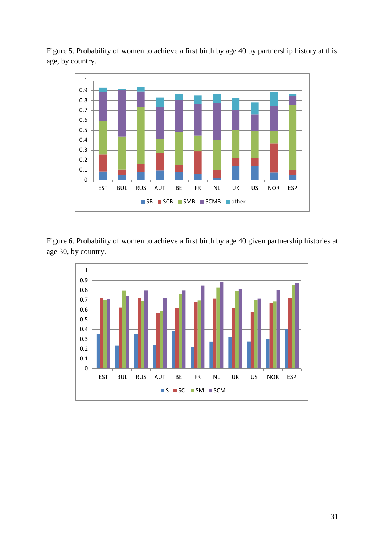Figure 5. Probability of women to achieve a first birth by age 40 by partnership history at this age, by country.



Figure 6. Probability of women to achieve a first birth by age 40 given partnership histories at age 30, by country.